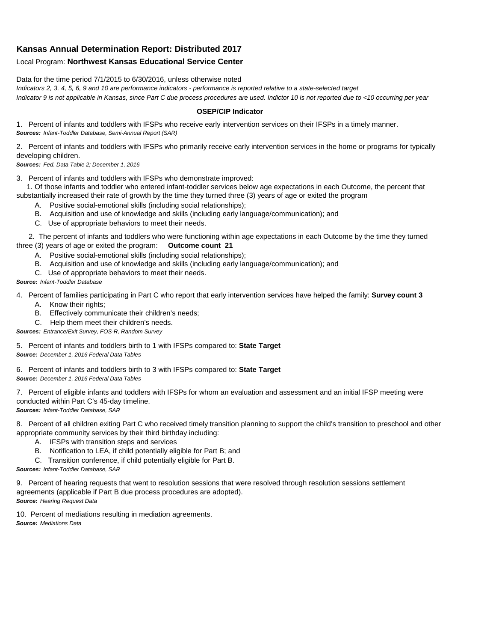## **Kansas Annual Determination Report: Distributed 2017**

## Local Program: **Northwest Kansas Educational Service Center**

Data for the time period 7/1/2015 to 6/30/2016, unless otherwise noted

*Indicators 2, 3, 4, 5, 6, 9 and 10 are performance indicators - performance is reported relative to a state-selected target Indicator 9 is not applicable in Kansas, since Part C due process procedures are used. Indictor 10 is not reported due to <10 occurring per year*

## **OSEP/CIP Indicator**

1. Percent of infants and toddlers with IFSPs who receive early intervention services on their IFSPs in a timely manner. *Sources: Infant-Toddler Database, Semi-Annual Report (SAR)* 

2. Percent of infants and toddlers with IFSPs who primarily receive early intervention services in the home or programs for typically developing children.

*Sources: Fed. Data Table 2; December 1, 2016*

3. Percent of infants and toddlers with IFSPs who demonstrate improved:

 1. Of those infants and toddler who entered infant-toddler services below age expectations in each Outcome, the percent that substantially increased their rate of growth by the time they turned three (3) years of age or exited the program

- A. Positive social-emotional skills (including social relationships);
- B. Acquisition and use of knowledge and skills (including early language/communication); and
- C. Use of appropriate behaviors to meet their needs.

 2. The percent of infants and toddlers who were functioning within age expectations in each Outcome by the time they turned three (3) years of age or exited the program: **Outcome count 21**

- A. Positive social-emotional skills (including social relationships);
- B. Acquisition and use of knowledge and skills (including early language/communication); and
- C. Use of appropriate behaviors to meet their needs.

## *Source: Infant-Toddler Database*

4. Percent of families participating in Part C who report that early intervention services have helped the family: **Survey count 3**

- A. Know their rights;
- B. Effectively communicate their children's needs;
- C. Help them meet their children's needs.
- *Sources: Entrance/Exit Survey, FOS-R, Random Survey*

5. Percent of infants and toddlers birth to 1 with IFSPs compared to: **State Target** *Source: December 1, 2016 Federal Data Tables*

6. Percent of infants and toddlers birth to 3 with IFSPs compared to: **State Target** *Source: December 1, 2016 Federal Data Tables*

7. Percent of eligible infants and toddlers with IFSPs for whom an evaluation and assessment and an initial IFSP meeting were conducted within Part C's 45-day timeline. *Sources: Infant-Toddler Database, SAR*

8. Percent of all children exiting Part C who received timely transition planning to support the child's transition to preschool and other appropriate community services by their third birthday including:

- A. IFSPs with transition steps and services
- B. Notification to LEA, if child potentially eligible for Part B; and
- C. Transition conference, if child potentially eligible for Part B.

*Sources: Infant-Toddler Database, SAR*

9. Percent of hearing requests that went to resolution sessions that were resolved through resolution sessions settlement agreements (applicable if Part B due process procedures are adopted). *Source: Hearing Request Data*

10. Percent of mediations resulting in mediation agreements. *Source: Mediations Data*